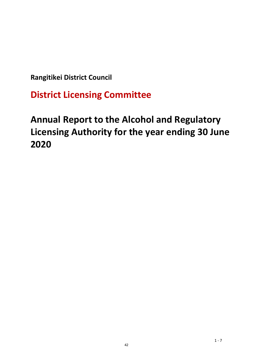**Rangitikei District Council**

**District Licensing Committee**

# **Annual Report to the Alcohol and Regulatory Licensing Authority for the year ending 30 June 2020**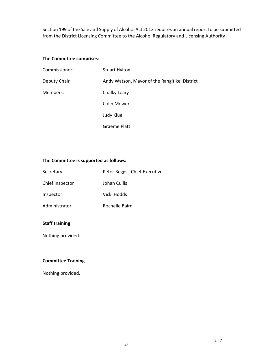Section 199 of the Sale and Supply of Alcohol Act 2012 requires an annual report to be submitted from the District Licensing Committee to the Alcohol Regulatory and Licensing Authority

#### **The Committee comprises**:

| Commissioner: | <b>Stuart Hylton</b>                          |
|---------------|-----------------------------------------------|
| Deputy Chair  | Andy Watson, Mayor of the Rangitikei District |
| Members:      | Chalky Leary                                  |
|               | <b>Colin Mower</b>                            |
|               | Judy Klue                                     |
|               | Graeme Platt                                  |

#### **The Committee is supported as follows:**

| Secretary       | Peter Beggs, Chief Executive |
|-----------------|------------------------------|
| Chief Inspector | Johan Cullis                 |
| Inspector       | Vicki Hodds                  |
| Administrator   | Rochelle Baird               |

#### **Staff training**

Nothing provided.

#### **Committee Training**

Nothing provided.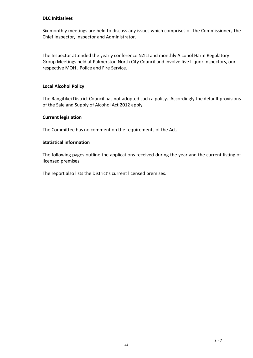#### **DLC Initiatives**

Six monthly meetings are held to discuss any issues which comprises of The Commissioner, The Chief Inspector, Inspector and Administrator.

The Inspector attended the yearly conference NZILI and monthly Alcohol Harm Regulatory Group Meetings held at Palmerston North City Council and involve five Liquor Inspectors, our respective MOH , Police and Fire Service.

#### **Local Alcohol Policy**

The Rangitikei District Council has not adopted such a policy. Accordingly the default provisions of the Sale and Supply of Alcohol Act 2012 apply

#### **Current legislation**

The Committee has no comment on the requirements of the Act.

#### **Statistical information**

The following pages outline the applications received during the year and the current listing of licensed premises

The report also lists the District's current licensed premises.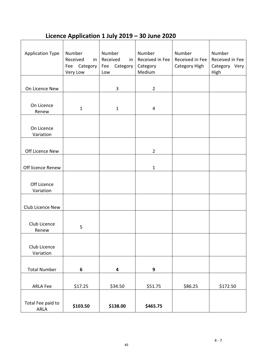# **Licence Application 1 July 2019 – 30 June 2020**

| <b>Application Type</b>   | Number<br>Received<br>in<br>Category<br>Fee<br>Very Low | Number<br>Received<br>in<br>Category<br>Fee<br>Low | Number<br>Received in Fee<br>Category<br>Medium | Number<br>Received in Fee<br>Category High | Number<br>Received in Fee<br>Category Very<br>High |
|---------------------------|---------------------------------------------------------|----------------------------------------------------|-------------------------------------------------|--------------------------------------------|----------------------------------------------------|
|                           |                                                         |                                                    |                                                 |                                            |                                                    |
| On Licence New            |                                                         | 3                                                  | $\overline{2}$                                  |                                            |                                                    |
|                           |                                                         |                                                    |                                                 |                                            |                                                    |
| On Licence<br>Renew       | $\mathbf 1$                                             | $\mathbf 1$                                        | 4                                               |                                            |                                                    |
|                           |                                                         |                                                    |                                                 |                                            |                                                    |
| On Licence                |                                                         |                                                    |                                                 |                                            |                                                    |
| Variation                 |                                                         |                                                    |                                                 |                                            |                                                    |
|                           |                                                         |                                                    |                                                 |                                            |                                                    |
| Off Licence New           |                                                         |                                                    | $\overline{2}$                                  |                                            |                                                    |
|                           |                                                         |                                                    |                                                 |                                            |                                                    |
| Off licence Renew         |                                                         |                                                    | 1                                               |                                            |                                                    |
| Off Licence               |                                                         |                                                    |                                                 |                                            |                                                    |
| Variation                 |                                                         |                                                    |                                                 |                                            |                                                    |
|                           |                                                         |                                                    |                                                 |                                            |                                                    |
| Club Licence New          |                                                         |                                                    |                                                 |                                            |                                                    |
|                           |                                                         |                                                    |                                                 |                                            |                                                    |
| Club Licence<br>Renew     | 5                                                       |                                                    |                                                 |                                            |                                                    |
|                           |                                                         |                                                    |                                                 |                                            |                                                    |
| Club Licence              |                                                         |                                                    |                                                 |                                            |                                                    |
| Variation                 |                                                         |                                                    |                                                 |                                            |                                                    |
|                           |                                                         |                                                    |                                                 |                                            |                                                    |
| <b>Total Number</b>       | 6                                                       | $\overline{\mathbf{4}}$                            | 9                                               |                                            |                                                    |
|                           |                                                         |                                                    |                                                 |                                            |                                                    |
| <b>ARLA Fee</b>           | \$17.25                                                 | \$34.50                                            | \$51.75                                         | \$86.25                                    | \$172.50                                           |
|                           |                                                         |                                                    |                                                 |                                            |                                                    |
| Total Fee paid to<br>ARLA | \$103.50                                                | \$138.00                                           | \$465.75                                        |                                            |                                                    |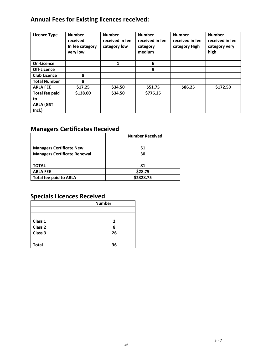# **Annual Fees for Existing licences received:**

| <b>Licence Type</b>   | <b>Number</b><br>received<br>In fee category<br>very low | <b>Number</b><br>received in fee<br>category low | <b>Number</b><br>received in fee<br>category<br>medium | <b>Number</b><br>received in fee<br>category High | <b>Number</b><br>received in fee<br>category very<br>high |
|-----------------------|----------------------------------------------------------|--------------------------------------------------|--------------------------------------------------------|---------------------------------------------------|-----------------------------------------------------------|
| <b>On-Licence</b>     |                                                          | 1                                                | 6                                                      |                                                   |                                                           |
| Off-Licence           |                                                          |                                                  | 9                                                      |                                                   |                                                           |
| <b>Club Licence</b>   | 8                                                        |                                                  |                                                        |                                                   |                                                           |
| <b>Total Number</b>   | 8                                                        |                                                  |                                                        |                                                   |                                                           |
| <b>ARLA FEE</b>       | \$17.25                                                  | \$34.50                                          | \$51.75                                                | \$86.25                                           | \$172.50                                                  |
| <b>Total fee paid</b> | \$138.00                                                 | \$34.50                                          | \$776.25                                               |                                                   |                                                           |
| to                    |                                                          |                                                  |                                                        |                                                   |                                                           |
| <b>ARLA (GST</b>      |                                                          |                                                  |                                                        |                                                   |                                                           |
| Incl.)                |                                                          |                                                  |                                                        |                                                   |                                                           |

# **Managers Certificates Received**

|                                     | <b>Number Received</b> |
|-------------------------------------|------------------------|
|                                     |                        |
| <b>Managers Certificate New</b>     | 51                     |
| <b>Managers Certificate Renewal</b> | 30                     |
|                                     |                        |
| <b>TOTAL</b>                        | 81                     |
| <b>ARLA FEE</b>                     | \$28.75                |
| <b>Total fee paid to ARLA</b>       | \$2328.75              |

# **Specials Licences Received**

|              | <b>Number</b> |
|--------------|---------------|
|              |               |
|              |               |
| Class 1      | 2             |
| Class 2      | 8             |
| Class 3      | 26            |
|              |               |
| <b>Total</b> | 36            |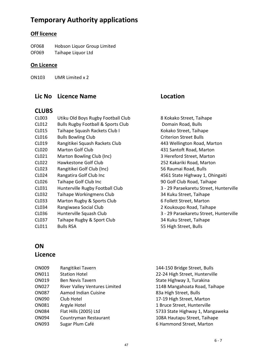# **Temporary Authority applications**

# **Off licence**

| OF068 | Hobson Liquor Group Limited |
|-------|-----------------------------|
| OF069 | Taihape Liquor Ltd          |

### **On Licence**

ON103 UMR Limited x 2

### **Lic No Licence Name Location**

### **CLUBS**

| CL003        | Utiku Old Boys Rugby Football Club            | 8 Kokako Street, Taihape               |
|--------------|-----------------------------------------------|----------------------------------------|
| CL012        | <b>Bulls Rugby Football &amp; Sports Club</b> | Domain Road, Bulls                     |
| CL015        | Taihape Squash Rackets Club I                 | Kokako Street, Taihape                 |
| CL016        | <b>Bulls Bowling Club</b>                     | <b>Criterion Street Bulls</b>          |
| CL019        | Rangitikei Squash Rackets Club                | 443 Wellington Road, Marton            |
| <b>CL020</b> | Marton Golf Club                              | 431 Santoft Road, Marton               |
| CL021        | Marton Bowling Club (Inc)                     | 3 Hereford Street, Marton              |
| CL022        | Hawkestone Golf Club                          | 252 Kakariki Road, Marton              |
| CL023        | Rangitikei Golf Club (Inc)                    | 56 Raumai Road, Bulls                  |
| <b>CL024</b> | Rangatira Golf Club Inc                       | 4561 State Highway 1, Ohingaiti        |
| CL026        | Taihape Golf Club Inc                         | 90 Golf Club Road, Taihape             |
| CL031        | Hunterville Rugby Football Club               | 3 - 29 Paraekaretu Street, Hunterville |
| CL032        | Taihape Workingmens Club                      | 34 Kuku Street, Taihape                |
| CL033        | Marton Rugby & Sports Club                    | 6 Follett Street, Marton               |
| CL034        | Rangiwaea Social Club                         | 2 Koukoupo Road, Taihape               |
| CL036        | Hunterville Squash Club                       | 3 - 29 Paraekaretu Street, Hunterville |
| CL037        | Taihape Rugby & Sport Club                    | 34 Kuku Street, Taihape                |
| CL011        | <b>Bulls RSA</b>                              | 55 High Street, Bulls                  |

| 8 Kokako Street, Taihape               |
|----------------------------------------|
| Domain Road, Bulls                     |
| Kokako Street, Taihape                 |
| Criterion Street Bulls                 |
| 443 Wellington Road, Marton            |
| 431 Santoft Road, Marton               |
| 3 Hereford Street, Marton              |
| 252 Kakariki Road, Marton              |
| 56 Raumai Road, Bulls                  |
| 4561 State Highway 1, Ohingaiti        |
| 90 Golf Club Road, Taihape             |
| 3 - 29 Paraekaretu Street, Hunterville |
| 34 Kuku Street, Taihape                |
| 6 Follett Street, Marton               |
| 2 Koukoupo Road, Taihape               |
| 3 - 29 Paraekaretu Street, Hunterville |
| 34 Kuku Street, Taihape                |
| EE High Ctroot Dulle                   |

### **ON**

### **Licence**

| <b>ON009</b> | Rangitikei Tavern                    | 144-150 Bridge Street, Bulls    |
|--------------|--------------------------------------|---------------------------------|
| ON011        | <b>Station Hotel</b>                 | 22-24 High Street, Hunterville  |
| ON019        | <b>Ben Nevis Tavern</b>              | State Highway 3, Turakina       |
| <b>ON027</b> | <b>River Valley Ventures Limited</b> | 114B Mangahoata Road, Taihape   |
| <b>ON087</b> | Aamod Indian Cuisine                 | 83a High Street, Bulls          |
| <b>ON090</b> | Club Hotel                           | 17-19 High Street, Marton       |
| <b>ON081</b> | Argyle Hotel                         | 1 Bruce Street, Hunterville     |
| <b>ON084</b> | Flat Hills (2005) Ltd                | 5733 State Highway 1, Mangaweka |
| <b>ON094</b> | Countryman Restaurant                | 108A Hautapu Street, Taihape    |
| ON093        | Sugar Plum Café                      | 6 Hammond Street, Marton        |